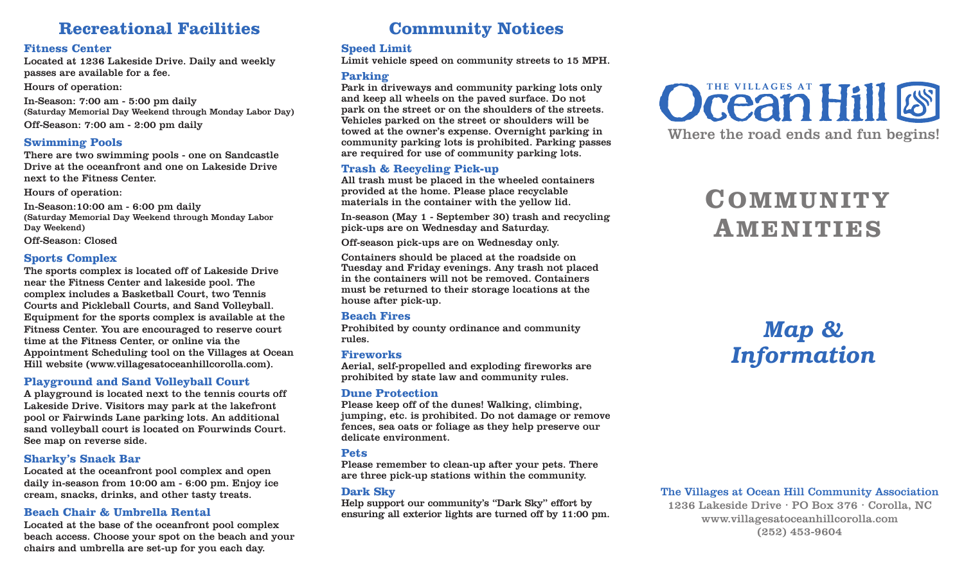# **Recreational Facilities**

#### **Fitness Center**

Located at 1236 Lakeside Drive. Daily and weekly passes are available for a fee.

Hours of operation:

In-Season: 7:00 am - 5:00 pm daily (Saturday Memorial Day Weekend through Monday Labor Day) Off-Season: 7:00 am - 2:00 pm daily

#### **Swimming Pools**

There are two swimming pools - one on Sandcastle Drive at the oceanfront and one on Lakeside Drive next to the Fitness Center.

Hours of operation:

In-Season:10:00 am - 6:00 pm daily (Saturday Memorial Day Weekend through Monday Labor Day Weekend)

Off-Season: Closed

### **Sports Complex**

The sports complex is located off of Lakeside Drive near the Fitness Center and lakeside pool. The complex includes a Basketball Court, two Tennis Courts and Pickleball Courts, and Sand Volleyball. Equipment for the sports complex is available at the Fitness Center. You are encouraged to reserve court time at the Fitness Center, or online via the Appointment Scheduling tool on the Villages at Ocean Hill website (www.villagesatoceanhillcorolla.com).

### **Playground and Sand Volleyball Court**

A playground is located next to the tennis courts off Lakeside Drive. Visitors may park at the lakefront pool or Fairwinds Lane parking lots. An additional sand volleyball court is located on Fourwinds Court. See map on reverse side.

#### **Sharky's Snack Bar**

Located at the oceanfront pool complex and open daily in-season from 10:00 am - 6:00 pm. Enjoy ice cream, snacks, drinks, and other tasty treats.

### **Beach Chair & Umbrella Rental**

Located at the base of the oceanfront pool complex beach access. Choose your spot on the beach and your chairs and umbrella are set-up for you each day.

# **Community Notices**

## **Speed Limit**

Limit vehicle speed on community streets to 15 MPH.

## **Parking**

Park in driveways and community parking lots only and keep all wheels on the paved surface. Do not park on the street or on the shoulders of the streets. Vehicles parked on the street or shoulders will be towed at the owner's expense. Overnight parking in community parking lots is prohibited. Parking passes are required for use of community parking lots.

## **Trash & Recycling Pick-up**

All trash must be placed in the wheeled containers provided at the home. Please place recyclable materials in the container with the yellow lid.

In-season (May 1 - September 30) trash and recycling pick-ups are on Wednesday and Saturday.

Off-season pick-ups are on Wednesday only.

Containers should be placed at the roadside on Tuesday and Friday evenings. Any trash not placed in the containers will not be removed. Containers must be returned to their storage locations at the house after pick-up.

### **Beach Fires**

Prohibited by county ordinance and community rules.

#### **Fireworks**

Aerial, self-propelled and exploding fireworks are prohibited by state law and community rules.

### **Dune Protection**

Please keep off of the dunes! Walking, climbing, jumping, etc. is prohibited. Do not damage or remove fences, sea oats or foliage as they help preserve our delicate environment.

### **Pets**

Please remember to clean-up after your pets. There are three pick-up stations within the community.

### **Dark Sky**

Help support our community's "Dark Sky" effort by ensuring all exterior lights are turned off by 11:00 pm.



# **COMMUNITY AMENITIES**

# *Map & Information*

### The Villages at Ocean Hill Community Association

1236 Lakeside Drive ∙ PO Box 376 ∙ Corolla, NC www.villagesatoceanhillcorolla.com (252) 453-9604